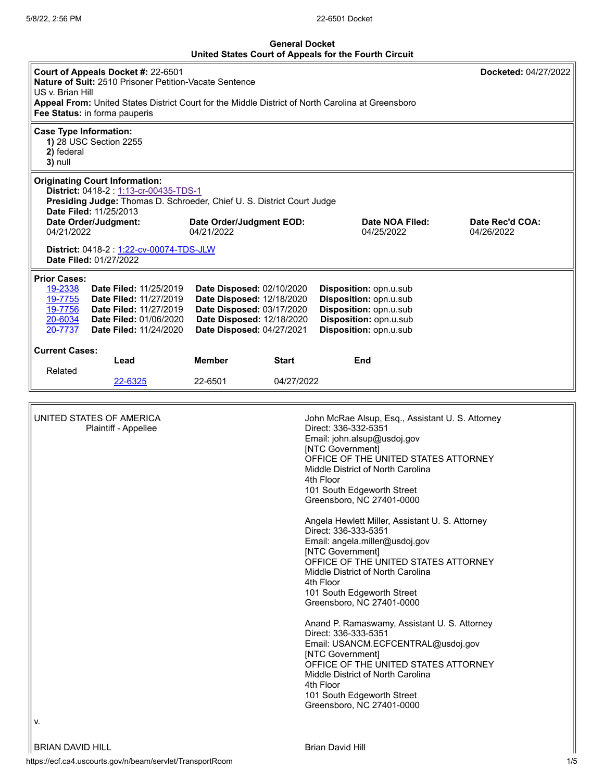## **General Docket United States Court of Appeals for the Fourth Circuit**

| United States Court of Appeals for the Fourth Circuit                                                                                                                                                                                                                                                                                                                                                                                                                                                                                     |                                                                    |                                        |              |                                                                                                                                                                                                                                                                                    |                               |  |  |  |  |
|-------------------------------------------------------------------------------------------------------------------------------------------------------------------------------------------------------------------------------------------------------------------------------------------------------------------------------------------------------------------------------------------------------------------------------------------------------------------------------------------------------------------------------------------|--------------------------------------------------------------------|----------------------------------------|--------------|------------------------------------------------------------------------------------------------------------------------------------------------------------------------------------------------------------------------------------------------------------------------------------|-------------------------------|--|--|--|--|
| Court of Appeals Docket #: 22-6501<br>Docketed: 04/27/2022<br>Nature of Suit: 2510 Prisoner Petition-Vacate Sentence<br>US v. Brian Hill<br>Appeal From: United States District Court for the Middle District of North Carolina at Greensboro<br>Fee Status: in forma pauperis                                                                                                                                                                                                                                                            |                                                                    |                                        |              |                                                                                                                                                                                                                                                                                    |                               |  |  |  |  |
| <b>Case Type Information:</b><br>2) federal<br>3) null                                                                                                                                                                                                                                                                                                                                                                                                                                                                                    | 1) 28 USC Section 2255                                             |                                        |              |                                                                                                                                                                                                                                                                                    |                               |  |  |  |  |
| <b>Originating Court Information:</b><br>District: 0418-2: 1:13-cr-00435-TDS-1<br>Presiding Judge: Thomas D. Schroeder, Chief U. S. District Court Judge<br>Date Filed: 11/25/2013                                                                                                                                                                                                                                                                                                                                                        |                                                                    |                                        |              |                                                                                                                                                                                                                                                                                    |                               |  |  |  |  |
| Date Order/Judgment:<br>04/21/2022                                                                                                                                                                                                                                                                                                                                                                                                                                                                                                        |                                                                    | Date Order/Judgment EOD:<br>04/21/2022 |              | Date NOA Filed:<br>04/25/2022                                                                                                                                                                                                                                                      | Date Rec'd COA:<br>04/26/2022 |  |  |  |  |
|                                                                                                                                                                                                                                                                                                                                                                                                                                                                                                                                           | District: 0418-2 : 1:22-cv-00074-TDS-JLW<br>Date Filed: 01/27/2022 |                                        |              |                                                                                                                                                                                                                                                                                    |                               |  |  |  |  |
| <b>Prior Cases:</b><br>19-2338<br><b>Date Filed: 11/25/2019</b><br><b>Date Disposed: 02/10/2020</b><br>Disposition: opn.u.sub<br>19-7755<br>Date Disposed: 12/18/2020<br>Disposition: opn.u.sub<br><b>Date Filed: 11/27/2019</b><br>19-7756<br><b>Date Filed: 11/27/2019</b><br>Date Disposed: 03/17/2020<br>Disposition: opn.u.sub<br>Date Disposed: 12/18/2020<br>20-6034<br>Disposition: opn.u.sub<br><b>Date Filed: 01/06/2020</b><br>20-7737<br>Disposition: opn.u.sub<br><b>Date Filed: 11/24/2020</b><br>Date Disposed: 04/27/2021 |                                                                    |                                        |              |                                                                                                                                                                                                                                                                                    |                               |  |  |  |  |
| <b>Current Cases:</b>                                                                                                                                                                                                                                                                                                                                                                                                                                                                                                                     | Lead                                                               | <b>Member</b>                          | <b>Start</b> | End                                                                                                                                                                                                                                                                                |                               |  |  |  |  |
| Related                                                                                                                                                                                                                                                                                                                                                                                                                                                                                                                                   | 22-6325                                                            | 22-6501                                | 04/27/2022   |                                                                                                                                                                                                                                                                                    |                               |  |  |  |  |
|                                                                                                                                                                                                                                                                                                                                                                                                                                                                                                                                           |                                                                    |                                        |              |                                                                                                                                                                                                                                                                                    |                               |  |  |  |  |
| UNITED STATES OF AMERICA<br>Plaintiff - Appellee                                                                                                                                                                                                                                                                                                                                                                                                                                                                                          |                                                                    |                                        |              | John McRae Alsup, Esq., Assistant U. S. Attorney<br>Direct: 336-332-5351<br>Email: john.alsup@usdoj.gov<br>[NTC Government]<br>OFFICE OF THE UNITED STATES ATTORNEY<br>Middle District of North Carolina<br>4th Floor<br>101 South Edgeworth Street<br>Greensboro, NC 27401-0000   |                               |  |  |  |  |
|                                                                                                                                                                                                                                                                                                                                                                                                                                                                                                                                           |                                                                    |                                        |              | Angela Hewlett Miller, Assistant U. S. Attorney<br>Direct: 336-333-5351<br>Email: angela.miller@usdoj.gov<br>[NTC Government]<br>OFFICE OF THE UNITED STATES ATTORNEY<br>Middle District of North Carolina<br>4th Floor<br>101 South Edgeworth Street<br>Greensboro, NC 27401-0000 |                               |  |  |  |  |

Anand P. Ramaswamy, Assistant U. S. Attorney Direct: 336-333-5351 Email: USANCM.ECFCENTRAL@usdoj.gov [NTC Government] OFFICE OF THE UNITED STATES ATTORNEY Middle District of North Carolina 4th Floor 101 South Edgeworth Street Greensboro, NC 27401-0000

v.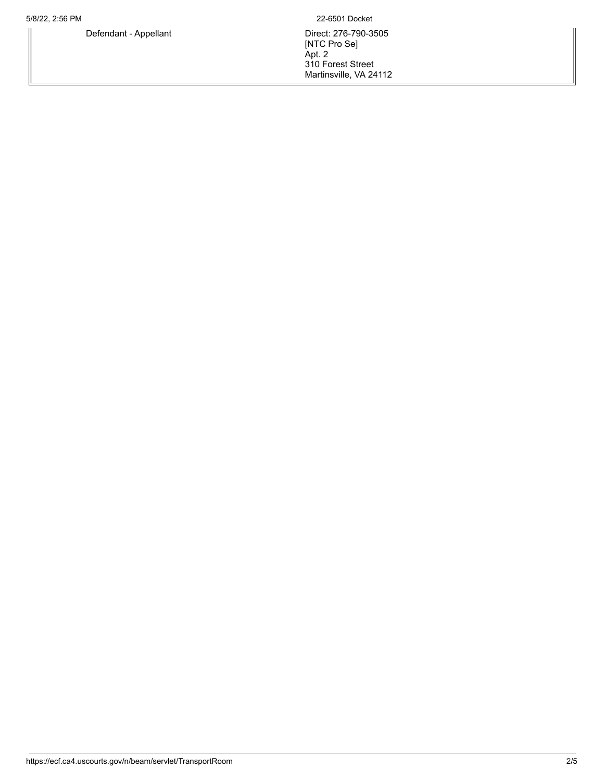5/8/22, 2:56 PM 22-6501 Docket

Defendant - Appellant **Direct: 276-790-3505** [NTC Pro Se] Apt. 2 310 Forest Street Martinsville, VA 24112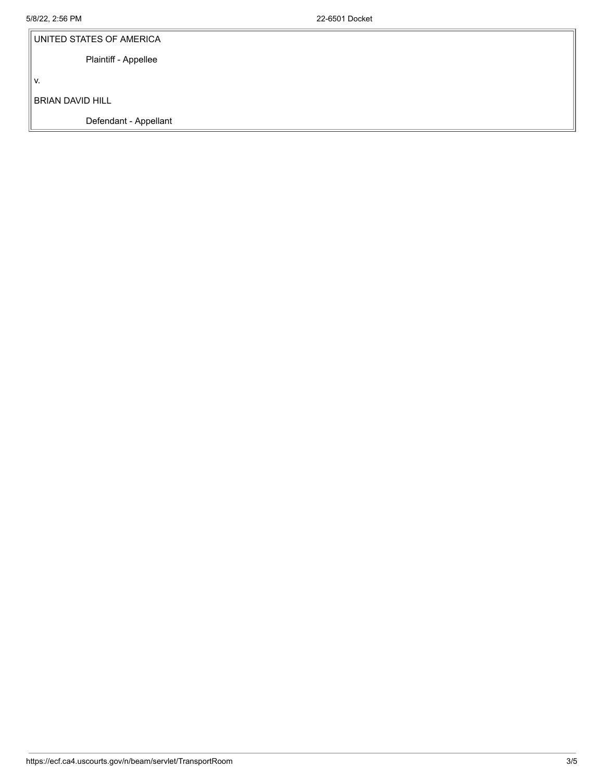| UNITED STATES OF AMERICA |  |  |  |
|--------------------------|--|--|--|
| Plaintiff - Appellee     |  |  |  |
| V.                       |  |  |  |
| <b>BRIAN DAVID HILL</b>  |  |  |  |
| Defendant - Appellant    |  |  |  |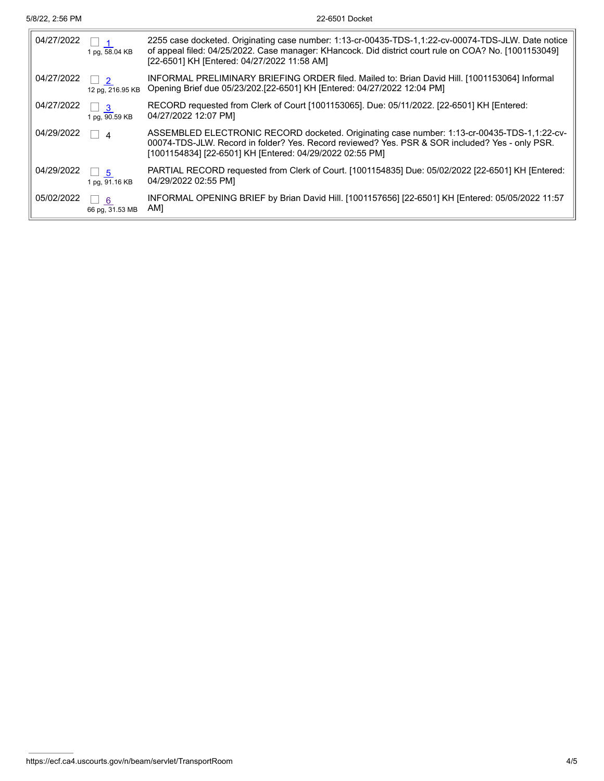$\overline{1}$ 

| 04/27/2022 | 1 pg, 58.04 KB                     | 2255 case docketed. Originating case number: 1:13-cr-00435-TDS-1,1:22-cv-00074-TDS-JLW. Date notice<br>of appeal filed: 04/25/2022. Case manager: KHancock. Did district court rule on COA? No. [1001153049]<br>[22-6501] KH [Entered: 04/27/2022 11:58 AM] |
|------------|------------------------------------|-------------------------------------------------------------------------------------------------------------------------------------------------------------------------------------------------------------------------------------------------------------|
| 04/27/2022 | $\overline{2}$<br>12 pg, 216.95 KB | INFORMAL PRELIMINARY BRIEFING ORDER filed. Mailed to: Brian David Hill. [1001153064] Informal<br>Opening Brief due 05/23/202.[22-6501] KH [Entered: 04/27/2022 12:04 PM]                                                                                    |
| 04/27/2022 | -3<br>1 pg, 90.59 KB               | RECORD requested from Clerk of Court [1001153065]. Due: 05/11/2022. [22-6501] KH [Entered:<br>04/27/2022 12:07 PM]                                                                                                                                          |
| 04/29/2022 | $\boldsymbol{\Lambda}$             | ASSEMBLED ELECTRONIC RECORD docketed. Originating case number: 1:13-cr-00435-TDS-1,1:22-cv-<br>00074-TDS-JLW. Record in folder? Yes. Record reviewed? Yes. PSR & SOR included? Yes - only PSR.<br>[1001154834] [22-6501] KH [Entered: 04/29/2022 02:55 PM]  |
| 04/29/2022 | $\Box$ 5<br>1 pg, 91.16 KB         | PARTIAL RECORD requested from Clerk of Court. [1001154835] Due: 05/02/2022 [22-6501] KH [Entered:<br>04/29/2022 02:55 PM]                                                                                                                                   |
| 05/02/2022 | - 6<br>66 pg, 31.53 MB             | INFORMAL OPENING BRIEF by Brian David Hill. [1001157656] [22-6501] KH [Entered: 05/05/2022 11:57<br>AM]                                                                                                                                                     |